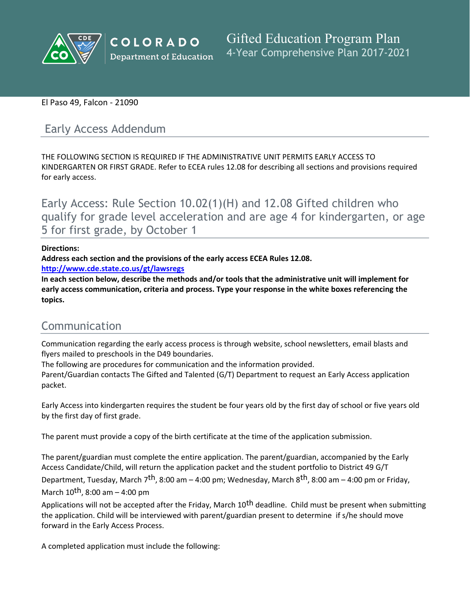

### El Paso 49, Falcon - 21090

# Early Access Addendum

THE FOLLOWING SECTION IS REQUIRED IF THE ADMINISTRATIVE UNIT PERMITS EARLY ACCESS TO KINDERGARTEN OR FIRST GRADE. Refer to ECEA rules 12.08 for describing all sections and provisions required for early access.

Early Access: Rule Section 10.02(1)(H) and 12.08 Gifted children who qualify for grade level acceleration and are age 4 for kindergarten, or age 5 for first grade, by October 1

### **Directions:**

**Address each section and the provisions of the early access ECEA Rules 12.08.**

**<http://www.cde.state.co.us/gt/lawsregs>**

**In each section below, describe the methods and/or tools that the administrative unit will implement for early access communication, criteria and process. Type your response in the white boxes referencing the topics.**

# Communication

Communication regarding the early access process is through website, school newsletters, email blasts and flyers mailed to preschools in the D49 boundaries.

The following are procedures for communication and the information provided.

Parent/Guardian contacts The Gifted and Talented (G/T) Department to request an Early Access application packet.

Early Access into kindergarten requires the student be four years old by the first day of school or five years old by the first day of first grade.

The parent must provide a copy of the birth certificate at the time of the application submission.

The parent/guardian must complete the entire application. The parent/guardian, accompanied by the Early Access Candidate/Child, will return the application packet and the student portfolio to District 49 G/T

Department, Tuesday, March 7<sup>th</sup>, 8:00 am – 4:00 pm; Wednesday, March 8<sup>th</sup>, 8:00 am – 4:00 pm or Friday,

March  $10^{th}$ , 8:00 am – 4:00 pm

Applications will not be accepted after the Friday, March 10<sup>th</sup> deadline. Child must be present when submitting the application. Child will be interviewed with parent/guardian present to determine if s/he should move forward in the Early Access Process.

A completed application must include the following: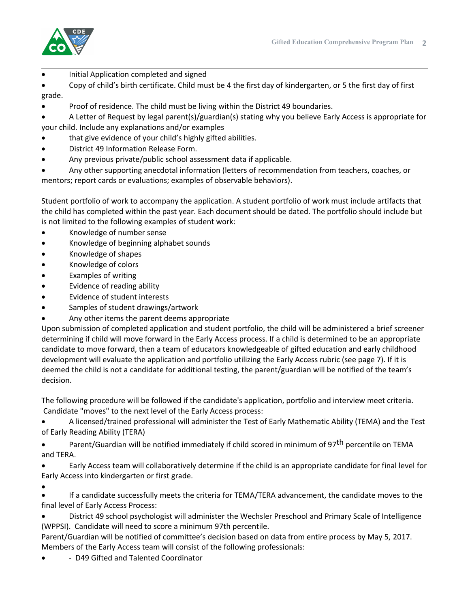

Initial Application completed and signed

 Copy of child's birth certificate. Child must be 4 the first day of kindergarten, or 5 the first day of first grade.

Proof of residence. The child must be living within the District 49 boundaries.

 A Letter of Request by legal parent(s)/guardian(s) stating why you believe Early Access is appropriate for your child. Include any explanations and/or examples

- that give evidence of your child's highly gifted abilities.
- District 49 Information Release Form.
- Any previous private/public school assessment data if applicable.

 Any other supporting anecdotal information (letters of recommendation from teachers, coaches, or mentors; report cards or evaluations; examples of observable behaviors).

Student portfolio of work to accompany the application. A student portfolio of work must include artifacts that the child has completed within the past year. Each document should be dated. The portfolio should include but is not limited to the following examples of student work:

- Knowledge of number sense
- Knowledge of beginning alphabet sounds
- Knowledge of shapes
- Knowledge of colors
- Examples of writing
- Evidence of reading ability
- Evidence of student interests
- Samples of student drawings/artwork
- Any other items the parent deems appropriate

Upon submission of completed application and student portfolio, the child will be administered a brief screener determining if child will move forward in the Early Access process. If a child is determined to be an appropriate candidate to move forward, then a team of educators knowledgeable of gifted education and early childhood development will evaluate the application and portfolio utilizing the Early Access rubric (see page 7). If it is deemed the child is not a candidate for additional testing, the parent/guardian will be notified of the team's decision.

The following procedure will be followed if the candidate's application, portfolio and interview meet criteria. Candidate "moves" to the next level of the Early Access process:

 A licensed/trained professional will administer the Test of Early Mathematic Ability (TEMA) and the Test of Early Reading Ability (TERA)

Parent/Guardian will be notified immediately if child scored in minimum of 97<sup>th</sup> percentile on TEMA and TERA.

 Early Access team will collaboratively determine if the child is an appropriate candidate for final level for Early Access into kindergarten or first grade.

 $\bullet$  If a candidate successfully meets the criteria for TEMA/TERA advancement, the candidate moves to the final level of Early Access Process:

 District 49 school psychologist will administer the Wechsler Preschool and Primary Scale of Intelligence (WPPSI). Candidate will need to score a minimum 97th percentile.

Parent/Guardian will be notified of committee's decision based on data from entire process by May 5, 2017. Members of the Early Access team will consist of the following professionals:

- D49 Gifted and Talented Coordinator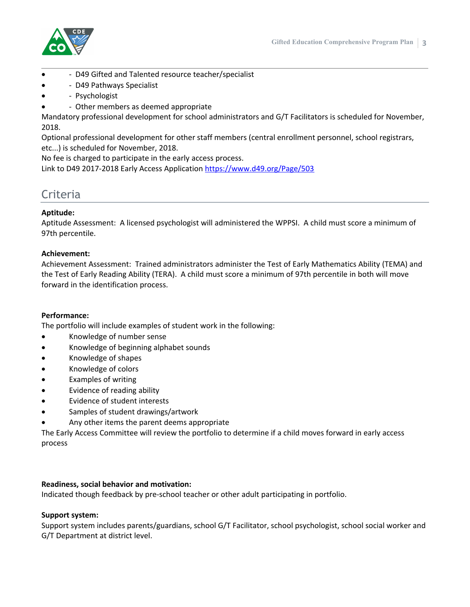

- D49 Gifted and Talented resource teacher/specialist
- D49 Pathways Specialist
- Psychologist
- Other members as deemed appropriate

Mandatory professional development for school administrators and G/T Facilitators is scheduled for November, 2018.

Optional professional development for other staff members (central enrollment personnel, school registrars, etc...) is scheduled for November, 2018.

No fee is charged to participate in the early access process.

Link to D49 2017-2018 Early Access Application [https://www.d49.org/Page/503]()

# Criteria

### **Aptitude:**

Aptitude Assessment: A licensed psychologist will administered the WPPSI. A child must score a minimum of 97th percentile.

### **Achievement:**

Achievement Assessment: Trained administrators administer the Test of Early Mathematics Ability (TEMA) and the Test of Early Reading Ability (TERA). A child must score a minimum of 97th percentile in both will move forward in the identification process.

### **Performance:**

The portfolio will include examples of student work in the following:

- Knowledge of number sense
- Knowledge of beginning alphabet sounds
- Knowledge of shapes
- Knowledge of colors
- Examples of writing
- Evidence of reading ability
- Evidence of student interests
- Samples of student drawings/artwork
- Any other items the parent deems appropriate

The Early Access Committee will review the portfolio to determine if a child moves forward in early access process

### **Readiness, social behavior and motivation:**

Indicated though feedback by pre-school teacher or other adult participating in portfolio.

### **Support system:**

Support system includes parents/guardians, school G/T Facilitator, school psychologist, school social worker and G/T Department at district level.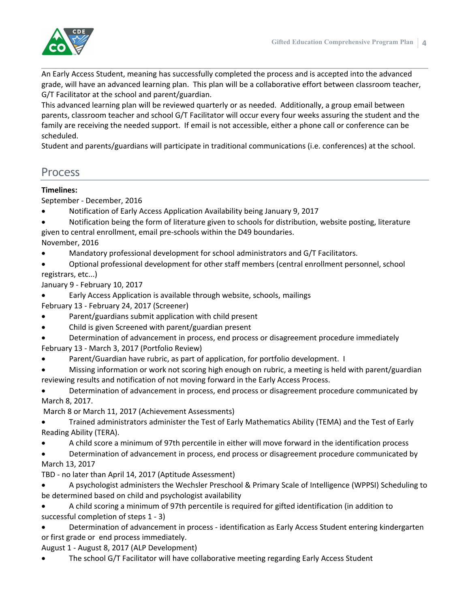

An Early Access Student, meaning has successfully completed the process and is accepted into the advanced grade, will have an advanced learning plan. This plan will be a collaborative effort between classroom teacher, G/T Facilitator at the school and parent/guardian.

This advanced learning plan will be reviewed quarterly or as needed. Additionally, a group email between parents, classroom teacher and school G/T Facilitator will occur every four weeks assuring the student and the family are receiving the needed support. If email is not accessible, either a phone call or conference can be scheduled.

Student and parents/guardians will participate in traditional communications (i.e. conferences) at the school.

# Process

## **Timelines:**

September - December, 2016

- Notification of Early Access Application Availability being January 9, 2017
- Notification being the form of literature given to schools for distribution, website posting, literature given to central enrollment, email pre-schools within the D49 boundaries.
- November, 2016
- Mandatory professional development for school administrators and G/T Facilitators.
- Optional professional development for other staff members (central enrollment personnel, school registrars, etc...)
- January 9 February 10, 2017
- Early Access Application is available through website, schools, mailings February 13 - February 24, 2017 (Screener)
- Parent/guardians submit application with child present
- Child is given Screened with parent/guardian present
- Determination of advancement in process, end process or disagreement procedure immediately February 13 - March 3, 2017 (Portfolio Review)
- Parent/Guardian have rubric, as part of application, for portfolio development. I
- Missing information or work not scoring high enough on rubric, a meeting is held with parent/guardian reviewing results and notification of not moving forward in the Early Access Process.
- Determination of advancement in process, end process or disagreement procedure communicated by March 8, 2017.

March 8 or March 11, 2017 (Achievement Assessments)

- Trained administrators administer the Test of Early Mathematics Ability (TEMA) and the Test of Early Reading Ability (TERA).
- A child score a minimum of 97th percentile in either will move forward in the identification process
- Determination of advancement in process, end process or disagreement procedure communicated by March 13, 2017

TBD - no later than April 14, 2017 (Aptitude Assessment)

- A psychologist administers the Wechsler Preschool & Primary Scale of Intelligence (WPPSI) Scheduling to be determined based on child and psychologist availability
- A child scoring a minimum of 97th percentile is required for gifted identification (in addition to successful completion of steps 1 - 3)
- Determination of advancement in process identification as Early Access Student entering kindergarten or first grade or end process immediately.

August 1 - August 8, 2017 (ALP Development)

The school G/T Facilitator will have collaborative meeting regarding Early Access Student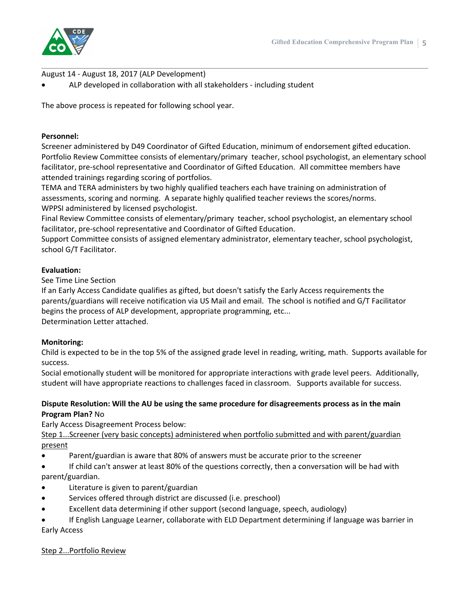

August 14 - August 18, 2017 (ALP Development)

ALP developed in collaboration with all stakeholders - including student

The above process is repeated for following school year.

### **Personnel:**

Screener administered by D49 Coordinator of Gifted Education, minimum of endorsement gifted education. Portfolio Review Committee consists of elementary/primary teacher, school psychologist, an elementary school facilitator, pre-school representative and Coordinator of Gifted Education. All committee members have attended trainings regarding scoring of portfolios.

TEMA and TERA administers by two highly qualified teachers each have training on administration of assessments, scoring and norming. A separate highly qualified teacher reviews the scores/norms. WPPSI administered by licensed psychologist.

Final Review Committee consists of elementary/primary teacher, school psychologist, an elementary school facilitator, pre-school representative and Coordinator of Gifted Education.

Support Committee consists of assigned elementary administrator, elementary teacher, school psychologist, school G/T Facilitator.

### **Evaluation:**

See Time Line Section

If an Early Access Candidate qualifies as gifted, but doesn't satisfy the Early Access requirements the parents/guardians will receive notification via US Mail and email. The school is notified and G/T Facilitator begins the process of ALP development, appropriate programming, etc... Determination Letter attached.

### **Monitoring:**

Child is expected to be in the top 5% of the assigned grade level in reading, writing, math. Supports available for success.

Social emotionally student will be monitored for appropriate interactions with grade level peers. Additionally, student will have appropriate reactions to challenges faced in classroom. Supports available for success.

### **Dispute Resolution: Will the AU be using the same procedure for disagreements process as in the main Program Plan?** No

Early Access Disagreement Process below:

Step 1...Screener (very basic concepts) administered when portfolio submitted and with parent/guardian present

- Parent/guardian is aware that 80% of answers must be accurate prior to the screener
- If child can't answer at least 80% of the questions correctly, then a conversation will be had with parent/guardian.
- Literature is given to parent/guardian
- Services offered through district are discussed (i.e. preschool)
- Excellent data determining if other support (second language, speech, audiology)
- If English Language Learner, collaborate with ELD Department determining if language was barrier in Early Access

### Step 2...Portfolio Review